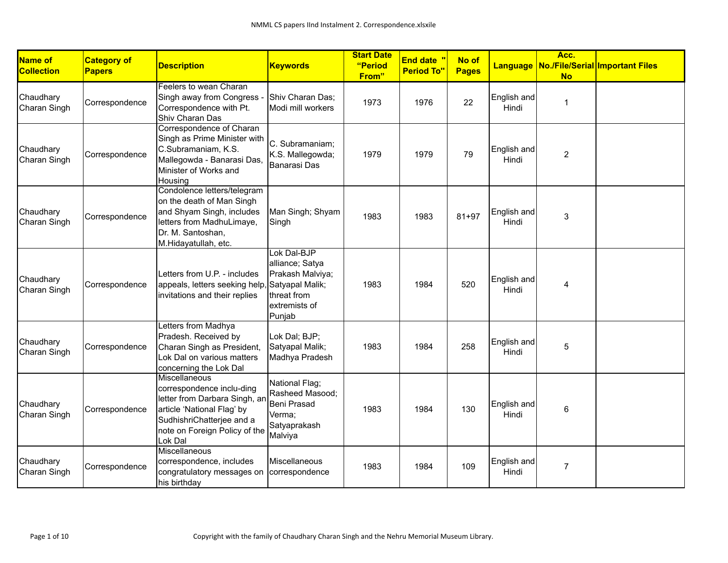| Name of<br><b>Collection</b> | <b>Category of</b><br><b>Papers</b> | <b>Description</b>                                                                                                                                                                        | <b>Keywords</b>                                                                                                 | <b>Start Date</b><br>"Period<br>From" | <b>End date</b> "<br><b>Period To"</b> | No of<br><b>Pages</b> |                      | Acc.<br><b>No</b> | Language No./File/Serial Important Files |
|------------------------------|-------------------------------------|-------------------------------------------------------------------------------------------------------------------------------------------------------------------------------------------|-----------------------------------------------------------------------------------------------------------------|---------------------------------------|----------------------------------------|-----------------------|----------------------|-------------------|------------------------------------------|
| Chaudhary<br>Charan Singh    | Correspondence                      | Feelers to wean Charan<br>Singh away from Congress -<br>Correspondence with Pt.<br>Shiv Charan Das                                                                                        | Shiv Charan Das;<br>Modi mill workers                                                                           | 1973                                  | 1976                                   | 22                    | English and<br>Hindi | $\mathbf{1}$      |                                          |
| Chaudhary<br>Charan Singh    | Correspondence                      | Correspondence of Charan<br>Singh as Prime Minister with<br>C.Subramaniam, K.S.<br>Mallegowda - Banarasi Das,<br>Minister of Works and<br>Housing                                         | C. Subramaniam;<br>K.S. Mallegowda;<br><b>Banarasi Das</b>                                                      | 1979                                  | 1979                                   | 79                    | English and<br>Hindi | 2                 |                                          |
| Chaudhary<br>Charan Singh    | Correspondence                      | Condolence letters/telegram<br>on the death of Man Singh<br>and Shyam Singh, includes<br>letters from MadhuLimaye,<br>Dr. M. Santoshan,<br>M.Hidayatullah, etc.                           | Man Singh; Shyam<br>Singh                                                                                       | 1983                                  | 1983                                   | $81 + 97$             | English and<br>Hindi | 3                 |                                          |
| Chaudhary<br>Charan Singh    | Correspondence                      | Letters from U.P. - includes<br>appeals, letters seeking help,<br>invitations and their replies                                                                                           | Lok Dal-BJP<br>alliance; Satya<br>Prakash Malviya;<br>Satyapal Malik;<br>threat from<br>extremists of<br>Punjab | 1983                                  | 1984                                   | 520                   | English and<br>Hindi | 4                 |                                          |
| Chaudhary<br>Charan Singh    | Correspondence                      | Letters from Madhya<br>Pradesh. Received by<br>Charan Singh as President,<br>Lok Dal on various matters<br>concerning the Lok Dal                                                         | Lok Dal; BJP;<br>Satyapal Malik;<br>Madhya Pradesh                                                              | 1983                                  | 1984                                   | 258                   | English and<br>Hindi | $\sqrt{5}$        |                                          |
| Chaudhary<br>Charan Singh    | Correspondence                      | <b>Miscellaneous</b><br>correspondence inclu-ding<br>letter from Darbara Singh, an<br>article 'National Flag' by<br>SudhishriChatterjee and a<br>note on Foreign Policy of the<br>Lok Dal | National Flag;<br>Rasheed Masood;<br>Beni Prasad<br>Verma;<br>Satyaprakash<br>Malviya                           | 1983                                  | 1984                                   | 130                   | English and<br>Hindi | 6                 |                                          |
| Chaudhary<br>Charan Singh    | Correspondence                      | Miscellaneous<br>correspondence, includes<br>congratulatory messages on<br>his birthday                                                                                                   | Miscellaneous<br>correspondence                                                                                 | 1983                                  | 1984                                   | 109                   | English and<br>Hindi | $\overline{7}$    |                                          |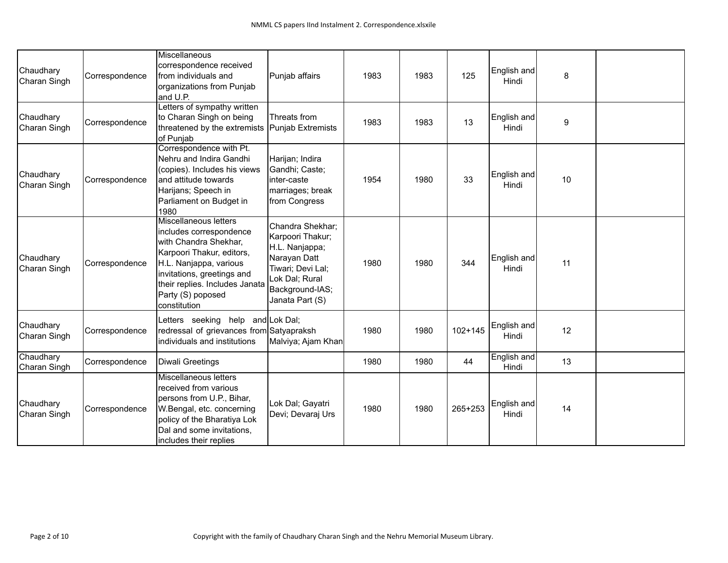| Chaudhary<br>Charan Singh | Correspondence | Miscellaneous<br>correspondence received<br>from individuals and<br>organizations from Punjab<br>and U.P.                                                                                                                             | Punjab affairs                                                                                                                                      | 1983 | 1983 | 125         | English and<br>Hindi | 8                |  |
|---------------------------|----------------|---------------------------------------------------------------------------------------------------------------------------------------------------------------------------------------------------------------------------------------|-----------------------------------------------------------------------------------------------------------------------------------------------------|------|------|-------------|----------------------|------------------|--|
| Chaudhary<br>Charan Singh | Correspondence | Letters of sympathy written<br>to Charan Singh on being<br>threatened by the extremists<br>of Punjab                                                                                                                                  | Threats from<br><b>Punjab Extremists</b>                                                                                                            | 1983 | 1983 | 13          | English and<br>Hindi | $\boldsymbol{9}$ |  |
| Chaudhary<br>Charan Singh | Correspondence | Correspondence with Pt.<br>Nehru and Indira Gandhi<br>(copies). Includes his views<br>and attitude towards<br>Harijans; Speech in<br>Parliament on Budget in<br>1980                                                                  | Harijan; Indira<br>Gandhi; Caste;<br>inter-caste<br>marriages; break<br>from Congress                                                               | 1954 | 1980 | 33          | English and<br>Hindi | 10               |  |
| Chaudhary<br>Charan Singh | Correspondence | Miscellaneous letters<br>includes correspondence<br>with Chandra Shekhar,<br>Karpoori Thakur, editors,<br>H.L. Nanjappa, various<br>invitations, greetings and<br>their replies. Includes Janata<br>Party (S) poposed<br>constitution | Chandra Shekhar;<br>Karpoori Thakur;<br>H.L. Nanjappa;<br>Narayan Datt<br>Tiwari; Devi Lal;<br>Lok Dal; Rural<br>Background-IAS;<br>Janata Part (S) | 1980 | 1980 | 344         | English and<br>Hindi | 11               |  |
| Chaudhary<br>Charan Singh | Correspondence | Letters seeking help and Lok Dal;<br>redressal of grievances from Satyapraksh<br>individuals and institutions                                                                                                                         | Malviya; Ajam Khan                                                                                                                                  | 1980 | 1980 | $102 + 145$ | English and<br>Hindi | 12               |  |
| Chaudhary<br>Charan Singh | Correspondence | Diwali Greetings                                                                                                                                                                                                                      |                                                                                                                                                     | 1980 | 1980 | 44          | English and<br>Hindi | 13               |  |
| Chaudhary<br>Charan Singh | Correspondence | Miscellaneous letters<br>received from various<br>persons from U.P., Bihar,<br>W.Bengal, etc. concerning<br>policy of the Bharatiya Lok<br>Dal and some invitations,<br>includes their replies                                        | Lok Dal; Gayatri<br>Devi; Devaraj Urs                                                                                                               | 1980 | 1980 | 265+253     | English and<br>Hindi | 14               |  |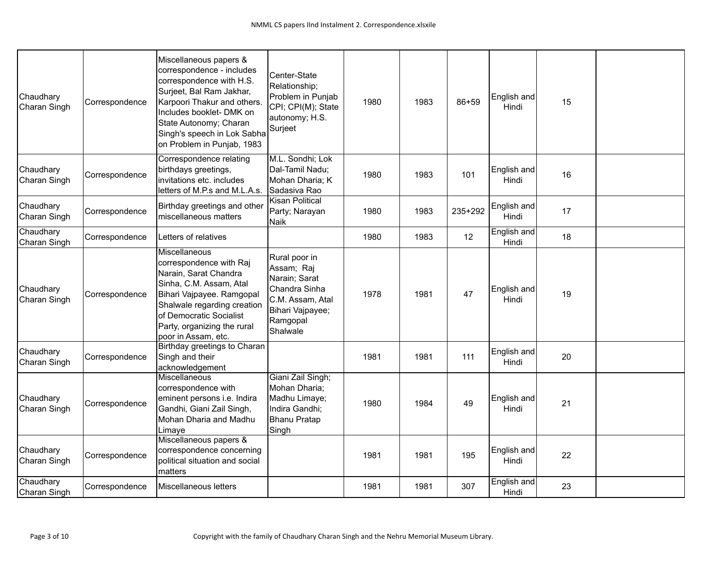| Chaudhary<br>Charan Singh | Correspondence | Miscellaneous papers &<br>correspondence - includes<br>correspondence with H.S.<br>Surjeet, Bal Ram Jakhar,<br>Karpoori Thakur and others.<br>Includes booklet- DMK on<br>State Autonomy; Charan<br>Singh's speech in Lok Sabha<br>on Problem in Punjab, 1983 | Center-State<br>Relationship;<br>Problem in Punjab<br>CPI; CPI(M); State<br>autonomy; H.S.<br>Surjeet                         | 1980 | 1983 | 86+59   | English and<br>Hindi | 15 |  |
|---------------------------|----------------|---------------------------------------------------------------------------------------------------------------------------------------------------------------------------------------------------------------------------------------------------------------|-------------------------------------------------------------------------------------------------------------------------------|------|------|---------|----------------------|----|--|
| Chaudhary<br>Charan Singh | Correspondence | Correspondence relating<br>birthdays greetings,<br>invitations etc. includes<br>letters of M.P.s and M.L.A.s.                                                                                                                                                 | M.L. Sondhi; Lok<br>Dal-Tamil Nadu;<br>Mohan Dharia; K<br>Sadasiva Rao                                                        | 1980 | 1983 | 101     | English and<br>Hindi | 16 |  |
| Chaudhary<br>Charan Singh | Correspondence | Birthday greetings and other<br>miscellaneous matters                                                                                                                                                                                                         | <b>Kisan Political</b><br>Party; Narayan<br>Naik                                                                              | 1980 | 1983 | 235+292 | English and<br>Hindi | 17 |  |
| Chaudhary<br>Charan Singh | Correspondence | Letters of relatives                                                                                                                                                                                                                                          |                                                                                                                               | 1980 | 1983 | 12      | English and<br>Hindi | 18 |  |
| Chaudhary<br>Charan Singh | Correspondence | Miscellaneous<br>correspondence with Raj<br>Narain, Sarat Chandra<br>Sinha, C.M. Assam, Atal<br>Bihari Vajpayee. Ramgopal<br>Shalwale regarding creation<br>of Democratic Socialist<br>Party, organizing the rural<br>poor in Assam, etc.                     | Rural poor in<br>Assam; Raj<br>Narain; Sarat<br>Chandra Sinha<br>C.M. Assam, Atal<br>Bihari Vajpayee;<br>Ramgopal<br>Shalwale | 1978 | 1981 | 47      | English and<br>Hindi | 19 |  |
| Chaudhary<br>Charan Singh | Correspondence | Birthday greetings to Charan<br>Singh and their<br>acknowledgement                                                                                                                                                                                            |                                                                                                                               | 1981 | 1981 | 111     | English and<br>Hindi | 20 |  |
| Chaudhary<br>Charan Singh | Correspondence | Miscellaneous<br>correspondence with<br>eminent persons i.e. Indira<br>Gandhi, Giani Zail Singh,<br>Mohan Dharia and Madhu<br>Limaye                                                                                                                          | Giani Zail Singh;<br>Mohan Dharia;<br>Madhu Limaye;<br>Indira Gandhi;<br>Bhanu Pratap<br>Singh                                | 1980 | 1984 | 49      | English and<br>Hindi | 21 |  |
| Chaudhary<br>Charan Singh | Correspondence | Miscellaneous papers &<br>correspondence concerning<br>political situation and social<br>matters                                                                                                                                                              |                                                                                                                               | 1981 | 1981 | 195     | English and<br>Hindi | 22 |  |
| Chaudhary<br>Charan Singh | Correspondence | Miscellaneous letters                                                                                                                                                                                                                                         |                                                                                                                               | 1981 | 1981 | 307     | English and<br>Hindi | 23 |  |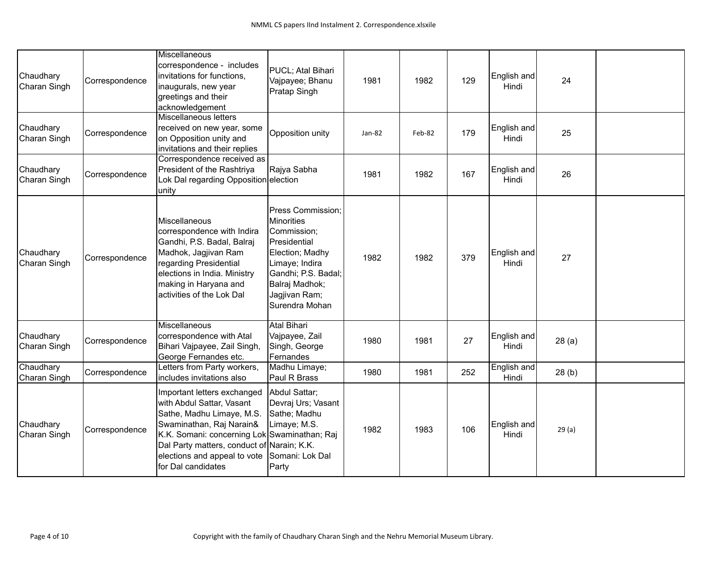| Chaudhary<br>Charan Singh | Correspondence | Miscellaneous<br>correspondence - includes<br>invitations for functions,<br>inaugurals, new year<br>greetings and their<br>acknowledgement                                                                                                                            | PUCL; Atal Bihari<br>Vajpayee; Bhanu<br>Pratap Singh                                                                                                                                   | 1981   | 1982   | 129 | English and<br>Hindi | 24    |  |
|---------------------------|----------------|-----------------------------------------------------------------------------------------------------------------------------------------------------------------------------------------------------------------------------------------------------------------------|----------------------------------------------------------------------------------------------------------------------------------------------------------------------------------------|--------|--------|-----|----------------------|-------|--|
| Chaudhary<br>Charan Singh | Correspondence | Miscellaneous letters<br>received on new year, some<br>on Opposition unity and<br>invitations and their replies                                                                                                                                                       | Opposition unity                                                                                                                                                                       | Jan-82 | Feb-82 | 179 | English and<br>Hindi | 25    |  |
| Chaudhary<br>Charan Singh | Correspondence | Correspondence received as<br>President of the Rashtriya<br>Lok Dal regarding Opposition election<br>unity                                                                                                                                                            | Rajya Sabha                                                                                                                                                                            | 1981   | 1982   | 167 | English and<br>Hindi | 26    |  |
| Chaudhary<br>Charan Singh | Correspondence | Miscellaneous<br>correspondence with Indira<br>Gandhi, P.S. Badal, Balraj<br>Madhok, Jagjivan Ram<br>regarding Presidential<br>elections in India. Ministry<br>making in Haryana and<br>activities of the Lok Dal                                                     | Press Commission;<br><b>Minorities</b><br>Commission;<br>Presidential<br>Election; Madhy<br>Limaye; Indira<br>Gandhi; P.S. Badal;<br>Balraj Madhok;<br>Jagjivan Ram;<br>Surendra Mohan | 1982   | 1982   | 379 | English and<br>Hindi | 27    |  |
| Chaudhary<br>Charan Singh | Correspondence | Miscellaneous<br>correspondence with Atal<br>Bihari Vajpayee, Zail Singh,<br>George Fernandes etc.                                                                                                                                                                    | <b>Atal Bihari</b><br>Vajpayee, Zail<br>Singh, George<br>Fernandes                                                                                                                     | 1980   | 1981   | 27  | English and<br>Hindi | 28(a) |  |
| Chaudhary<br>Charan Singh | Correspondence | Letters from Party workers,<br>includes invitations also                                                                                                                                                                                                              | Madhu Limaye;<br>Paul R Brass                                                                                                                                                          | 1980   | 1981   | 252 | English and<br>Hindi | 28(b) |  |
| Chaudhary<br>Charan Singh | Correspondence | Important letters exchanged<br>with Abdul Sattar, Vasant<br>Sathe, Madhu Limaye, M.S.<br>Swaminathan, Raj Narain&<br>K.K. Somani: concerning Lok Swaminathan; Raj<br>Dal Party matters, conduct of Narain; K.K.<br>elections and appeal to vote<br>for Dal candidates | Abdul Sattar;<br>Devraj Urs; Vasant<br>Sathe; Madhu<br>Limaye; M.S.<br>Somani: Lok Dal<br>Party                                                                                        | 1982   | 1983   | 106 | English and<br>Hindi | 29(a) |  |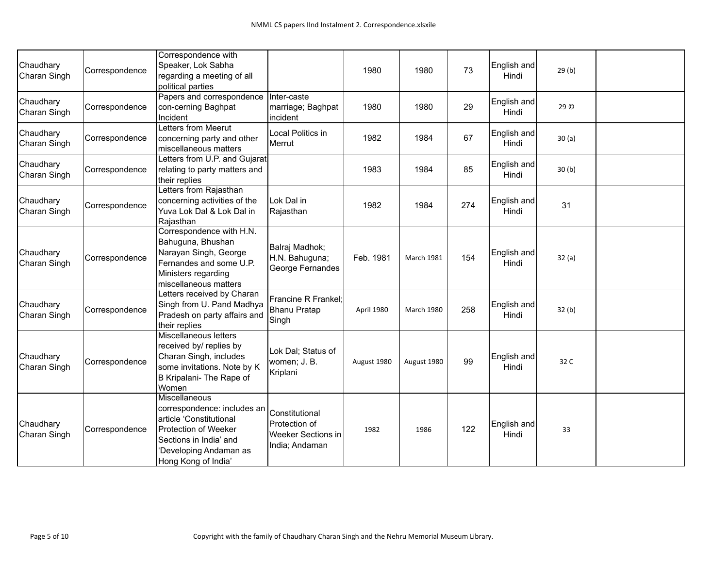| Chaudhary<br>Charan Singh | Correspondence | Correspondence with<br>Speaker, Lok Sabha<br>regarding a meeting of all<br>political parties                                                                               |                                                                         | 1980        | 1980        | 73  | English and<br>Hindi | 29(b) |  |
|---------------------------|----------------|----------------------------------------------------------------------------------------------------------------------------------------------------------------------------|-------------------------------------------------------------------------|-------------|-------------|-----|----------------------|-------|--|
| Chaudhary<br>Charan Singh | Correspondence | Papers and correspondence<br>con-cerning Baghpat<br>Incident                                                                                                               | Inter-caste<br>marriage; Baghpat<br>incident                            | 1980        | 1980        | 29  | English and<br>Hindi | 29 ©  |  |
| Chaudhary<br>Charan Singh | Correspondence | Letters from Meerut<br>concerning party and other<br>miscellaneous matters                                                                                                 | Local Politics in<br>Merrut                                             | 1982        | 1984        | 67  | English and<br>Hindi | 30(a) |  |
| Chaudhary<br>Charan Singh | Correspondence | Letters from U.P. and Gujarat<br>relating to party matters and<br>their replies                                                                                            |                                                                         | 1983        | 1984        | 85  | English and<br>Hindi | 30(b) |  |
| Chaudhary<br>Charan Singh | Correspondence | Letters from Rajasthan<br>concerning activities of the<br>Yuva Lok Dal & Lok Dal in<br>Rajasthan                                                                           | Lok Dal in<br>Rajasthan                                                 | 1982        | 1984        | 274 | English and<br>Hindi | 31    |  |
| Chaudhary<br>Charan Singh | Correspondence | Correspondence with H.N.<br>Bahuguna, Bhushan<br>Narayan Singh, George<br>Fernandes and some U.P.<br>Ministers regarding<br>miscellaneous matters                          | Balraj Madhok;<br>H.N. Bahuguna;<br>George Fernandes                    | Feb. 1981   | March 1981  | 154 | English and<br>Hindi | 32(a) |  |
| Chaudhary<br>Charan Singh | Correspondence | Letters received by Charan<br>Singh from U. Pand Madhya<br>Pradesh on party affairs and<br>their replies                                                                   | Francine R Frankel;<br><b>Bhanu Pratap</b><br>Singh                     | April 1980  | March 1980  | 258 | English and<br>Hindi | 32(b) |  |
| Chaudhary<br>Charan Singh | Correspondence | Miscellaneous letters<br>received by/ replies by<br>Charan Singh, includes<br>some invitations. Note by K<br>B Kripalani- The Rape of<br>Women                             | Lok Dal; Status of<br>women; J. B.<br>Kriplani                          | August 1980 | August 1980 | 99  | English and<br>Hindi | 32 C  |  |
| Chaudhary<br>Charan Singh | Correspondence | Miscellaneous<br>correspondence: includes an<br>article 'Constitutional<br>Protection of Weeker<br>Sections in India' and<br>'Developing Andaman as<br>Hong Kong of India' | Constitutional<br>Protection of<br>Weeker Sections in<br>India; Andaman | 1982        | 1986        | 122 | English and<br>Hindi | 33    |  |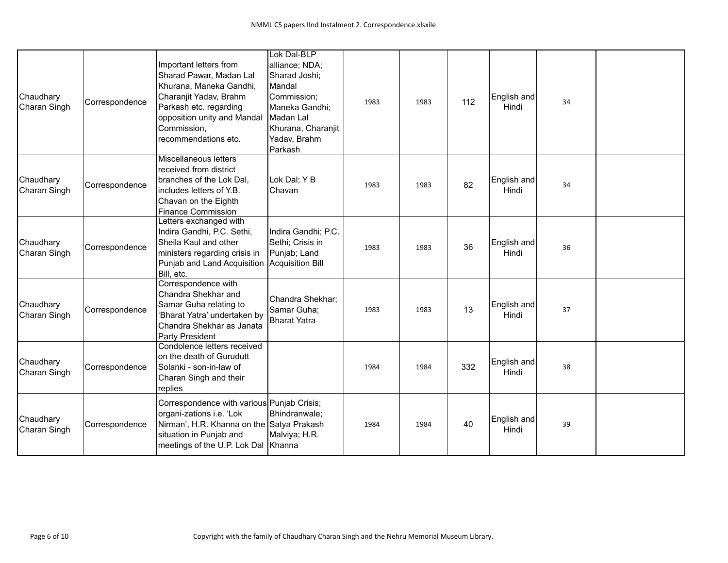| Chaudhary<br>Charan Singh | Correspondence | Important letters from<br>Sharad Pawar, Madan Lal<br>Khurana, Maneka Gandhi,<br>Charanjit Yadav, Brahm<br>Parkash etc. regarding<br>opposition unity and Mandal<br>Commission,<br>recommendations etc. | Lok Dal-BLP<br>alliance; NDA;<br>Sharad Joshi;<br>Mandal<br>Commission;<br>Maneka Gandhi;<br>Madan Lal<br>Khurana, Charanjit<br>Yadav, Brahm<br>Parkash | 1983 | 1983 | 112 | English and<br>Hindi | 34 |  |
|---------------------------|----------------|--------------------------------------------------------------------------------------------------------------------------------------------------------------------------------------------------------|---------------------------------------------------------------------------------------------------------------------------------------------------------|------|------|-----|----------------------|----|--|
| Chaudhary<br>Charan Singh | Correspondence | <b>Miscellaneous letters</b><br>received from district<br>branches of the Lok Dal,<br>lincludes letters of Y.B.<br>Chavan on the Eighth<br><b>Finance Commission</b>                                   | Lok Dal; Y B<br>Chavan                                                                                                                                  | 1983 | 1983 | 82  | English and<br>Hindi | 34 |  |
| Chaudhary<br>Charan Singh | Correspondence | Letters exchanged with<br>Indira Gandhi, P.C. Sethi,<br>Sheila Kaul and other<br>ministers regarding crisis in<br>Punjab and Land Acquisition Acquisition Bill<br>Bill, etc.                           | Indira Gandhi; P.C.<br>Sethi; Crisis in<br>Punjab; Land                                                                                                 | 1983 | 1983 | 36  | English and<br>Hindi | 36 |  |
| Chaudhary<br>Charan Singh | Correspondence | Correspondence with<br>Chandra Shekhar and<br>Samar Guha relating to<br>'Bharat Yatra' undertaken by<br>Chandra Shekhar as Janata<br>Party President                                                   | Chandra Shekhar;<br>Samar Guha;<br><b>Bharat Yatra</b>                                                                                                  | 1983 | 1983 | 13  | English and<br>Hindi | 37 |  |
| Chaudhary<br>Charan Singh | Correspondence | Condolence letters received<br>on the death of Gurudutt<br>Solanki - son-in-law of<br>Charan Singh and their<br>replies                                                                                |                                                                                                                                                         | 1984 | 1984 | 332 | English and<br>Hindi | 38 |  |
| Chaudhary<br>Charan Singh | Correspondence | Correspondence with various Punjab Crisis;<br>organi-zations i.e. 'Lok<br>Nirman', H.R. Khanna on the Satya Prakash<br>situation in Punjab and<br>meetings of the U.P. Lok Dal Khanna                  | Bhindranwale;<br>Malviya; H.R.                                                                                                                          | 1984 | 1984 | 40  | English and<br>Hindi | 39 |  |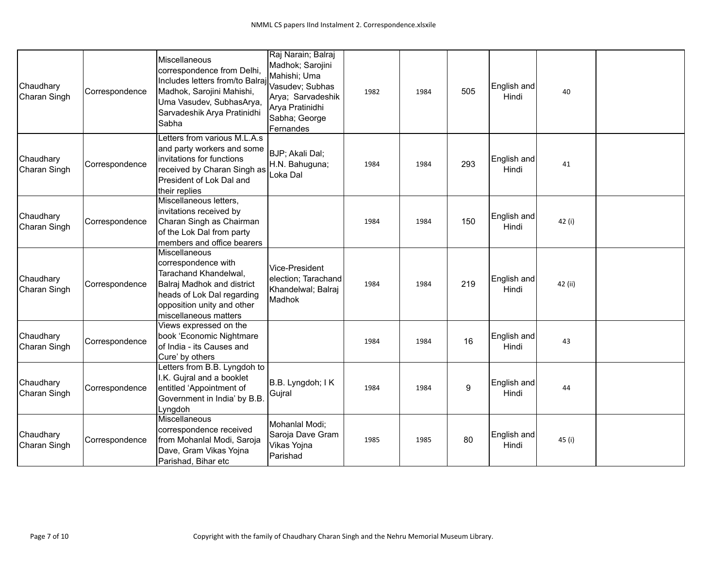| Chaudhary<br>Charan Singh | Correspondence | Miscellaneous<br>correspondence from Delhi,<br>Includes letters from/to Balraj<br>Madhok, Sarojini Mahishi,<br>Uma Vasudev, SubhasArya,<br>Sarvadeshik Arya Pratinidhi<br>Sabha  | Raj Narain; Balraj<br>Madhok; Sarojini<br>Mahishi; Uma<br>Vasudev; Subhas<br>Arya; Sarvadeshik<br>Arya Pratinidhi<br>Sabha; George<br>Fernandes | 1982 | 1984 | 505 | English and<br>Hindi | 40      |  |
|---------------------------|----------------|----------------------------------------------------------------------------------------------------------------------------------------------------------------------------------|-------------------------------------------------------------------------------------------------------------------------------------------------|------|------|-----|----------------------|---------|--|
| Chaudhary<br>Charan Singh | Correspondence | Letters from various M.L.A.s<br>and party workers and some<br>invitations for functions<br>received by Charan Singh as<br>President of Lok Dal and<br>their replies              | BJP; Akali Dal;<br>H.N. Bahuguna;<br>Loka Dal                                                                                                   | 1984 | 1984 | 293 | English and<br>Hindi | 41      |  |
| Chaudhary<br>Charan Singh | Correspondence | Miscellaneous letters,<br>invitations received by<br>Charan Singh as Chairman<br>of the Lok Dal from party<br>members and office bearers                                         |                                                                                                                                                 | 1984 | 1984 | 150 | English and<br>Hindi | 42 (i)  |  |
| Chaudhary<br>Charan Singh | Correspondence | Miscellaneous<br>correspondence with<br>Tarachand Khandelwal,<br>Balraj Madhok and district<br>heads of Lok Dal regarding<br>opposition unity and other<br>miscellaneous matters | Vice-President<br>election; Tarachand<br>Khandelwal; Balraj<br>Madhok                                                                           | 1984 | 1984 | 219 | English and<br>Hindi | 42 (ii) |  |
| Chaudhary<br>Charan Singh | Correspondence | Views expressed on the<br>book 'Economic Nightmare<br>of India - its Causes and<br>Cure' by others                                                                               |                                                                                                                                                 | 1984 | 1984 | 16  | English and<br>Hindi | 43      |  |
| Chaudhary<br>Charan Singh | Correspondence | Letters from B.B. Lyngdoh to<br>I.K. Gujral and a booklet<br>entitled 'Appointment of<br>Government in India' by B.B.<br>Lyngdoh                                                 | B.B. Lyngdoh; IK<br>Gujral                                                                                                                      | 1984 | 1984 | 9   | English and<br>Hindi | 44      |  |
| Chaudhary<br>Charan Singh | Correspondence | Miscellaneous<br>correspondence received<br>from Mohanlal Modi, Saroja<br>Dave, Gram Vikas Yojna<br>Parishad, Bihar etc                                                          | Mohanlal Modi;<br>Saroja Dave Gram<br>Vikas Yojna<br>Parishad                                                                                   | 1985 | 1985 | 80  | English and<br>Hindi | 45 (i)  |  |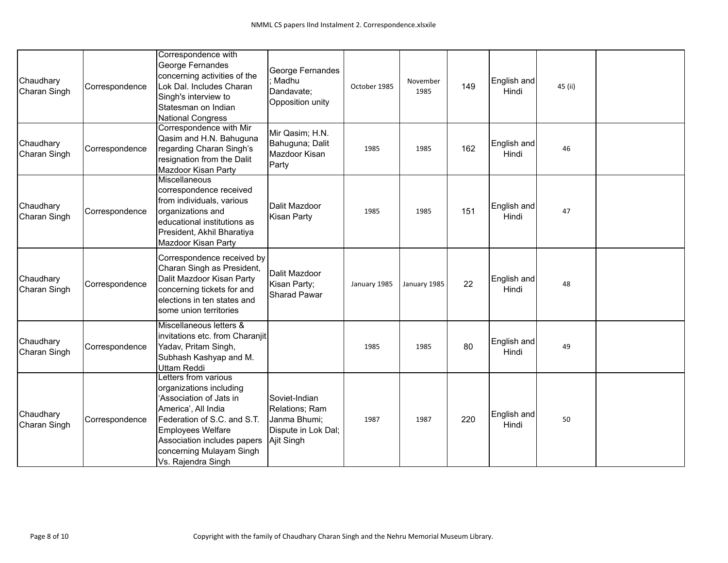| Chaudhary<br>Charan Singh | Correspondence | Correspondence with<br>George Fernandes<br>concerning activities of the<br>Lok Dal. Includes Charan<br>Singh's interview to<br>Statesman on Indian<br><b>National Congress</b>                                                         | George Fernandes<br>Madhu<br>Dandavate;<br>Opposition unity                          | October 1985 | November<br>1985 | 149 | English and<br>Hindi | 45 (ii) |  |
|---------------------------|----------------|----------------------------------------------------------------------------------------------------------------------------------------------------------------------------------------------------------------------------------------|--------------------------------------------------------------------------------------|--------------|------------------|-----|----------------------|---------|--|
| Chaudhary<br>Charan Singh | Correspondence | Correspondence with Mir<br>Qasim and H.N. Bahuguna<br>regarding Charan Singh's<br>resignation from the Dalit<br>Mazdoor Kisan Party                                                                                                    | Mir Qasim; H.N.<br>Bahuguna; Dalit<br>Mazdoor Kisan<br>Party                         | 1985         | 1985             | 162 | English and<br>Hindi | 46      |  |
| Chaudhary<br>Charan Singh | Correspondence | Miscellaneous<br>correspondence received<br>from individuals, various<br>organizations and<br>educational institutions as<br>President, Akhil Bharatiya<br>Mazdoor Kisan Party                                                         | Dalit Mazdoor<br>Kisan Party                                                         | 1985         | 1985             | 151 | English and<br>Hindi | 47      |  |
| Chaudhary<br>Charan Singh | Correspondence | Correspondence received by<br>Charan Singh as President,<br>Dalit Mazdoor Kisan Party<br>concerning tickets for and<br>elections in ten states and<br>some union territories                                                           | Dalit Mazdoor<br>Kisan Party;<br>Sharad Pawar                                        | January 1985 | January 1985     | 22  | English and<br>Hindi | 48      |  |
| Chaudhary<br>Charan Singh | Correspondence | Miscellaneous letters &<br>invitations etc. from Charanjit<br>Yadav, Pritam Singh,<br>Subhash Kashyap and M.<br>Uttam Reddi                                                                                                            |                                                                                      | 1985         | 1985             | 80  | English and<br>Hindi | 49      |  |
| Chaudhary<br>Charan Singh | Correspondence | Letters from various<br>organizations including<br>'Association of Jats in<br>America', All India<br>Federation of S.C. and S.T.<br>Employees Welfare<br>Association includes papers<br>concerning Mulayam Singh<br>Vs. Rajendra Singh | Soviet-Indian<br>Relations; Ram<br>Janma Bhumi;<br>Dispute in Lok Dal;<br>Ajit Singh | 1987         | 1987             | 220 | English and<br>Hindi | 50      |  |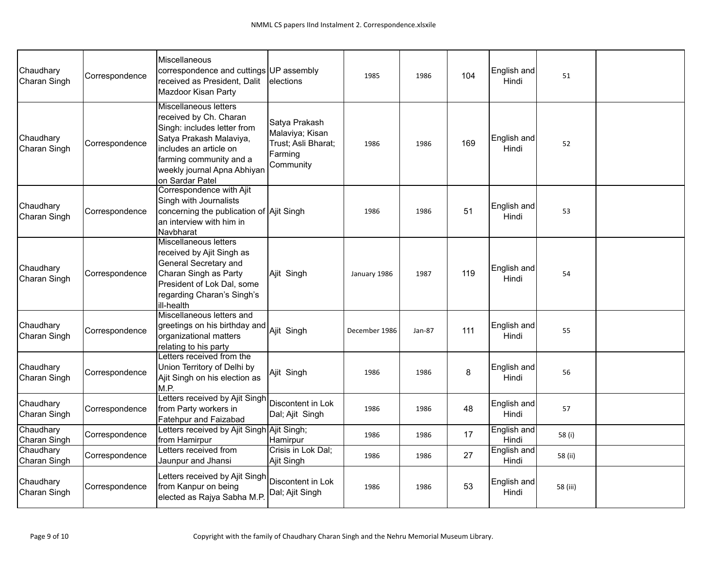| Chaudhary<br>Charan Singh | Correspondence | <b>Miscellaneous</b><br>correspondence and cuttings UP assembly<br>received as President, Dalit<br>Mazdoor Kisan Party                                                                                                  | lelections                                                                      | 1985          | 1986   | 104 | English and<br>Hindi | 51       |  |
|---------------------------|----------------|-------------------------------------------------------------------------------------------------------------------------------------------------------------------------------------------------------------------------|---------------------------------------------------------------------------------|---------------|--------|-----|----------------------|----------|--|
| Chaudhary<br>Charan Singh | Correspondence | <b>Miscellaneous letters</b><br>received by Ch. Charan<br>Singh: includes letter from<br>Satya Prakash Malaviya,<br>includes an article on<br>farming community and a<br>weekly journal Apna Abhiyan<br>on Sardar Patel | Satya Prakash<br>Malaviya; Kisan<br>Trust; Asli Bharat;<br>Farming<br>Community | 1986          | 1986   | 169 | English and<br>Hindi | 52       |  |
| Chaudhary<br>Charan Singh | Correspondence | Correspondence with Ajit<br>Singh with Journalists<br>concerning the publication of Ajit Singh<br>an interview with him in<br>Navbharat                                                                                 |                                                                                 | 1986          | 1986   | 51  | English and<br>Hindi | 53       |  |
| Chaudhary<br>Charan Singh | Correspondence | <b>Miscellaneous letters</b><br>received by Ajit Singh as<br>General Secretary and<br>Charan Singh as Party<br>President of Lok Dal, some<br>regarding Charan's Singh's<br>ill-health                                   | Ajit Singh                                                                      | January 1986  | 1987   | 119 | English and<br>Hindi | 54       |  |
| Chaudhary<br>Charan Singh | Correspondence | Miscellaneous letters and<br>greetings on his birthday and<br>organizational matters<br>relating to his party                                                                                                           | Ajit Singh                                                                      | December 1986 | Jan-87 | 111 | English and<br>Hindi | 55       |  |
| Chaudhary<br>Charan Singh | Correspondence | Letters received from the<br>Union Territory of Delhi by<br>Ajit Singh on his election as<br>M.P.                                                                                                                       | Ajit Singh                                                                      | 1986          | 1986   | 8   | English and<br>Hindi | 56       |  |
| Chaudhary<br>Charan Singh | Correspondence | Letters received by Ajit Singh<br>from Party workers in<br>Fatehpur and Faizabad                                                                                                                                        | Discontent in Lok<br>Dal; Ajit Singh                                            | 1986          | 1986   | 48  | English and<br>Hindi | 57       |  |
| Chaudhary<br>Charan Singh | Correspondence | Letters received by Ajit Singh Ajit Singh;<br>from Hamirpur                                                                                                                                                             | Hamirpur                                                                        | 1986          | 1986   | 17  | English and<br>Hindi | 58 (i)   |  |
| Chaudhary<br>Charan Singh | Correspondence | Letters received from<br>Jaunpur and Jhansi                                                                                                                                                                             | Crisis in Lok Dal;<br>Ajit Singh                                                | 1986          | 1986   | 27  | English and<br>Hindi | 58 (ii)  |  |
| Chaudhary<br>Charan Singh | Correspondence | Letters received by Ajit Singh<br>from Kanpur on being<br>elected as Rajya Sabha M.P.                                                                                                                                   | Discontent in Lok<br>Dal; Ajit Singh                                            | 1986          | 1986   | 53  | English and<br>Hindi | 58 (iii) |  |